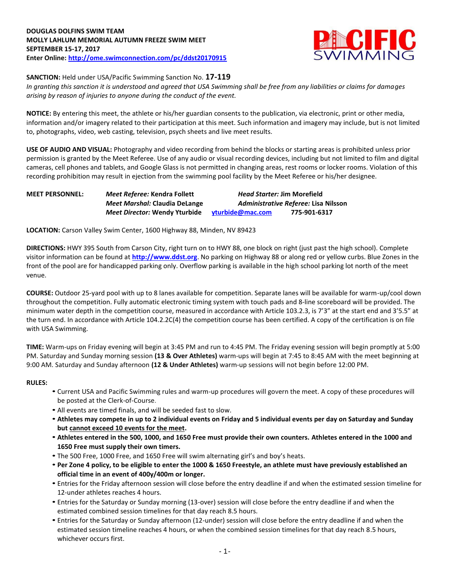

**SANCTION:** Held under USA/Pacific Swimming Sanction No. **17-119**

*In granting this sanction it is understood and agreed that USA Swimming shall be free from any liabilities or claims for damages arising by reason of injuries to anyone during the conduct of the event.*

**NOTICE:** By entering this meet, the athlete or his/her guardian consents to the publication, via electronic, print or other media, information and/or imagery related to their participation at this meet. Such information and imagery may include, but is not limited to, photographs, video, web casting, television, psych sheets and live meet results.

**USE OF AUDIO AND VISUAL:** Photography and video recording from behind the blocks or starting areas is prohibited unless prior permission is granted by the Meet Referee. Use of any audio or visual recording devices, including but not limited to film and digital cameras, cell phones and tablets, and Google Glass is not permitted in changing areas, rest rooms or locker rooms. Violation of this recording prohibition may result in ejection from the swimming pool facility by the Meet Referee or his/her designee.

| <b>MEET PERSONNEL:</b> | Meet Referee: Kendra Follett         | <b>Head Starter: Jim Morefield</b><br>Administrative Referee: Lisa Nilsson |              |  |  |  |
|------------------------|--------------------------------------|----------------------------------------------------------------------------|--------------|--|--|--|
|                        | Meet Marshal: Claudia DeLange        |                                                                            |              |  |  |  |
|                        | <b>Meet Director: Wendy Yturbide</b> | vturbide@mac.com                                                           | 775-901-6317 |  |  |  |

**LOCATION:** Carson Valley Swim Center, 1600 Highway 88, Minden, NV 89423

**DIRECTIONS:** HWY 395 South from Carson City, right turn on to HWY 88, one block on right (just past the high school). Complete visitor information can be found at **[http://www.ddst.org](http://www.ddst.org/)**. No parking on Highway 88 or along red or yellow curbs. Blue Zones in the front of the pool are for handicapped parking only. Overflow parking is available in the high school parking lot north of the meet venue.

**COURSE:** Outdoor 25-yard pool with up to 8 lanes available for competition. Separate lanes will be available for warm-up/cool down throughout the competition. Fully automatic electronic timing system with touch pads and 8-line scoreboard will be provided. The minimum water depth in the competition course, measured in accordance with Article 103.2.3, is 7'3" at the start end and 3'5.5" at the turn end. In accordance with Article 104.2.2C(4) the competition course has been certified. A copy of the certification is on file with USA Swimming.

**TIME:** Warm-ups on Friday evening will begin at 3:45 PM and run to 4:45 PM. The Friday evening session will begin promptly at 5:00 PM. Saturday and Sunday morning session **(13 & Over Athletes)** warm-ups will begin at 7:45 to 8:45 AM with the meet beginning at 9:00 AM. Saturday and Sunday afternoon **(12 & Under Athletes)** warm-up sessions will not begin before 12:00 PM.

### **RULES:**

- Current USA and Pacific Swimming rules and warm-up procedures will govern the meet. A copy of these procedures will be posted at the Clerk-of-Course.
- All events are timed finals, and will be seeded fast to slow.
- **Athletes may compete in up to 2 individual events on Friday and 5 individual events per day on Saturday and Sunday but cannot exceed 10 events for the meet.**
- **Athletes entered in the 500, 1000, and 1650 Free must provide their own counters. Athletes entered in the 1000 and 1650 Free must supply their own timers.**
- The 500 Free, 1000 Free, and 1650 Free will swim alternating girl's and boy's heats.
- **Per Zone 4 policy, to be eligible to enter the 1000 & 1650 Freestyle, an athlete must have previously established an official time in an event of 400y/400m or longer.**
- Entries for the Friday afternoon session will close before the entry deadline if and when the estimated session timeline for 12-under athletes reaches 4 hours.
- Entries for the Saturday or Sunday morning (13-over) session will close before the entry deadline if and when the estimated combined session timelines for that day reach 8.5 hours.
- Entries for the Saturday or Sunday afternoon (12-under) session will close before the entry deadline if and when the estimated session timeline reaches 4 hours, or when the combined session timelines for that day reach 8.5 hours, whichever occurs first.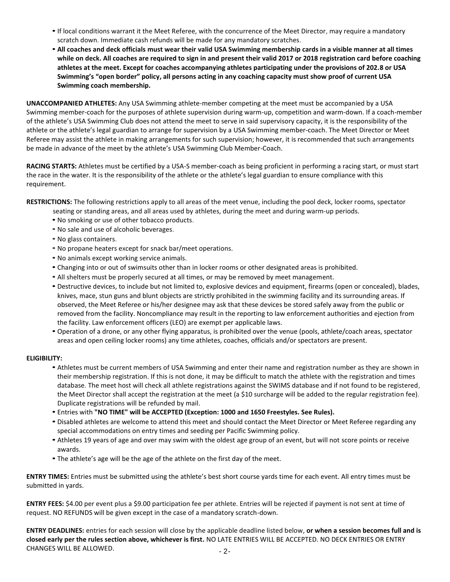- •If local conditions warrant it the Meet Referee, with the concurrence of the Meet Director, may require a mandatory scratch down. Immediate cash refunds will be made for any mandatory scratches.
- **All coaches and deck officials must wear their valid USA Swimming membership cards in a visible manner at all times while on deck. All coaches are required to sign in and present their valid 2017 or 2018 registration card before coaching athletes at the meet. Except for coaches accompanying athletes participating under the provisions of 202.8 or USA Swimming's "open border" policy, all persons acting in any coaching capacity must show proof of current USA Swimming coach membership.**

**UNACCOMPANIED ATHLETES:** Any USA Swimming athlete-member competing at the meet must be accompanied by a USA Swimming member-coach for the purposes of athlete supervision during warm-up, competition and warm-down. If a coach-member of the athlete's USA Swimming Club does not attend the meet to serve in said supervisory capacity, it is the responsibility of the athlete or the athlete's legal guardian to arrange for supervision by a USA Swimming member-coach. The Meet Director or Meet Referee may assist the athlete in making arrangements for such supervision; however, it is recommended that such arrangements be made in advance of the meet by the athlete's USA Swimming Club Member-Coach.

**RACING STARTS:** Athletes must be certified by a USA-S member-coach as being proficient in performing a racing start, or must start the race in the water. It is the responsibility of the athlete or the athlete's legal guardian to ensure compliance with this requirement.

**RESTRICTIONS:** The following restrictions apply to all areas of the meet venue, including the pool deck, locker rooms, spectator

- seating or standing areas, and all areas used by athletes, during the meet and during warm-up periods.
- No smoking or use of other tobacco products.
- No sale and use of alcoholic beverages.
- No glass containers.
- No propane heaters except for snack bar/meet operations.
- No animals except working service animals.
- Changing into or out of swimsuits other than in locker rooms or other designated areas is prohibited.
- All shelters must be properly secured at all times, or may be removed by meet management.
- Destructive devices, to include but not limited to, explosive devices and equipment, firearms (open or concealed), blades, knives, mace, stun guns and blunt objects are strictly prohibited in the swimming facility and its surrounding areas. If observed, the Meet Referee or his/her designee may ask that these devices be stored safely away from the public or removed from the facility. Noncompliance may result in the reporting to law enforcement authorities and ejection from the facility. Law enforcement officers (LEO) are exempt per applicable laws.
- Operation of a drone, or any other flying apparatus, is prohibited over the venue (pools, athlete/coach areas, spectator areas and open ceiling locker rooms) any time athletes, coaches, officials and/or spectators are present.

### **ELIGIBILITY:**

- Athletes must be current members of USA Swimming and enter their name and registration number as they are shown in their membership registration. If this is not done, it may be difficult to match the athlete with the registration and times database. The meet host will check all athlete registrations against the SWIMS database and if not found to be registered, the Meet Director shall accept the registration at the meet (a \$10 surcharge will be added to the regular registration fee). Duplicate registrations will be refunded by mail.
- Entries with **"NO TIME" will be ACCEPTED (Exception: 1000 and 1650 Freestyles. See Rules).**
- Disabled athletes are welcome to attend this meet and should contact the Meet Director or Meet Referee regarding any special accommodations on entry times and seeding per Pacific Swimming policy.
- Athletes 19 years of age and over may swim with the oldest age group of an event, but will not score points or receive awards.
- The athlete's age will be the age of the athlete on the first day of the meet.

**ENTRY TIMES:** Entries must be submitted using the athlete's best short course yards time for each event. All entry times must be submitted in yards.

**ENTRY FEES:** \$4.00 per event plus a \$9.00 participation fee per athlete. Entries will be rejected if payment is not sent at time of request. NO REFUNDS will be given except in the case of a mandatory scratch-down.

**ENTRY DEADLINES:** entries for each session will close by the applicable deadline listed below, **or when a session becomes full and is closed early per the rules section above, whichever is first.** NO LATE ENTRIES WILL BE ACCEPTED. NO DECK ENTRIES OR ENTRY CHANGES WILL BE ALLOWED.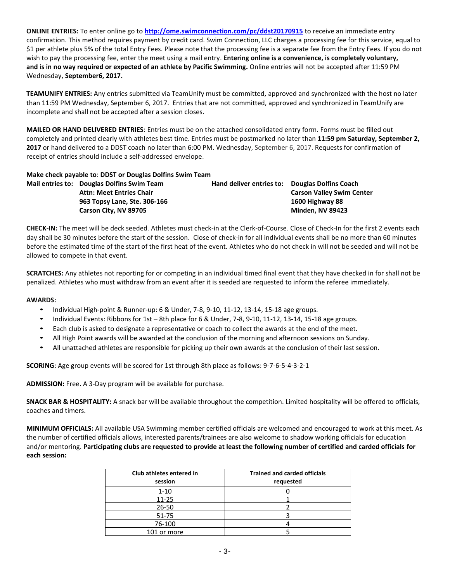**ONLINE ENTRIES:** To enter online go to **<http://ome.swimconnection.com/pc/ddst20170915>** to receive an immediate entry confirmation. This method requires payment by credit card. Swim Connection, LLC charges a processing fee for this service, equal to \$1 per athlete plus 5% of the total Entry Fees. Please note that the processing fee is a separate fee from the Entry Fees. If you do not wish to pay the processing fee, enter the meet using a mail entry. **Entering online is a convenience, is completely voluntary, and is in no way required or expected of an athlete by Pacific Swimming.** Online entries will not be accepted after 11:59 PM Wednesday, **September6, 2017.**

**TEAMUNIFY ENTRIES:** Any entries submitted via TeamUnify must be committed, approved and synchronized with the host no later than 11:59 PM Wednesday, September 6, 2017. Entries that are not committed, approved and synchronized in TeamUnify are incomplete and shall not be accepted after a session closes.

**MAILED OR HAND DELIVERED ENTRIES**: Entries must be on the attached consolidated entry form. Forms must be filled out completely and printed clearly with athletes best time. Entries must be postmarked no later than **11:59 pm Saturday, September 2, 2017** or hand delivered to a DDST coach no later than 6:00 PM. Wednesday, September 6, 2017. Requests for confirmation of receipt of entries should include a self-addressed envelope.

## **Make check payable to**: **DDST or Douglas Dolfins Swim Team**

**Mail entries to: Douglas Dolfins Swim Team Hand deliver entries to: Douglas Dolfins Coach Attn: Meet Entries Chair Carson Valley Swim Center 963 Topsy Lane, Ste. 306-166 1600 Highway 88 Carson City, NV 89705 Minden, NV 89423**

**CHECK-IN:** The meet will be deck seeded. Athletes must check-in at the Clerk-of-Course. Close of Check-In for the first 2 events each day shall be 30 minutes before the start of the session. Close of check-in for all individual events shall be no more than 60 minutes before the estimated time of the start of the first heat of the event. Athletes who do not check in will not be seeded and will not be allowed to compete in that event.

**SCRATCHES:** Any athletes not reporting for or competing in an individual timed final event that they have checked in for shall not be penalized. Athletes who must withdraw from an event after it is seeded are requested to inform the referee immediately.

### **AWARDS:**

- Individual High-point & Runner-up: 6 & Under, 7-8, 9-10, 11-12, 13-14, 15-18 age groups.
- Individual Events: Ribbons for 1st 8th place for 6 & Under, 7-8, 9-10, 11-12, 13-14, 15-18 age groups.
- Each club is asked to designate a representative or coach to collect the awards at the end of the meet.
- All High Point awards will be awarded at the conclusion of the morning and afternoon sessions on Sunday.
- All unattached athletes are responsible for picking up their own awards at the conclusion of their last session.

**SCORING**: Age group events will be scored for 1st through 8th place as follows: 9-7-6-5-4-3-2-1

**ADMISSION:** Free. A 3-Day program will be available for purchase.

**SNACK BAR & HOSPITALITY:** A snack bar will be available throughout the competition. Limited hospitality will be offered to officials, coaches and timers.

**MINIMUM OFFICIALS:** All available USA Swimming member certified officials are welcomed and encouraged to work at this meet. As the number of certified officials allows, interested parents/trainees are also welcome to shadow working officials for education and/or mentoring. **Participating clubs are requested to provide at least the following number of certified and carded officials for each session:**

| Club athletes entered in<br>session | <b>Trained and carded officials</b><br>requested |
|-------------------------------------|--------------------------------------------------|
| $1 - 10$                            |                                                  |
| $11 - 25$                           |                                                  |
| $26 - 50$                           |                                                  |
| 51-75                               |                                                  |
| 76-100                              |                                                  |
| 101 or more                         |                                                  |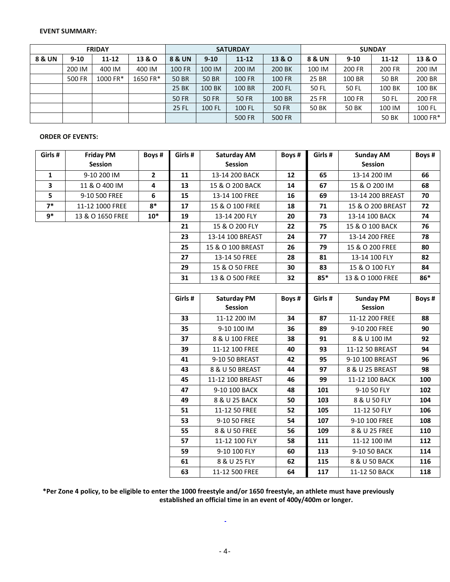#### **EVENT SUMMARY:**

|        |          | <b>FRIDAY</b> |          |                               |              | <b>SATURDAY</b> |                   | <b>SUNDAY</b> |               |              |          |  |
|--------|----------|---------------|----------|-------------------------------|--------------|-----------------|-------------------|---------------|---------------|--------------|----------|--|
| 8 & UN | $9 - 10$ | $11 - 12$     | 13 & O   | <b>8 &amp; UN</b><br>$9 - 10$ |              | $11 - 12$       | <b>13 &amp; O</b> | 8 & UN        | $9 - 10$      | 11-12        | 13 & O   |  |
|        | 200 IM   | 400 IM        | 400 IM   | <b>100 FR</b>                 | 100 IM       | 200 IM          | 200 BK            | 100 IM        | 200 FR        | 200 FR       | 200 IM   |  |
|        | 500 FR   | 1000 FR*      | 1650 FR* | <b>50 BR</b>                  | <b>50 BR</b> | <b>100 FR</b>   | <b>100 FR</b>     | 25 BR         | 100 BR        | 50 BR        | 200 BR   |  |
|        |          |               |          | <b>25 BK</b>                  | 100 BK       | 100 BR          | 200 FL            | 50 FL         | 50 FL         | 100 BK       | 100 BK   |  |
|        |          |               |          | <b>50 FR</b>                  | <b>50 FR</b> | <b>50 FR</b>    | 100 BR            | <b>25 FR</b>  | <b>100 FR</b> | 50 FL        | 200 FR   |  |
|        |          |               |          | 25 FL                         | 100 FL       | 100 FL          | 50 FR             | <b>50 BK</b>  | <b>50 BK</b>  | 100 IM       | 100 FL   |  |
|        |          |               |          |                               |              | <b>500 FR</b>   | 500 FR            |               |               | <b>50 BK</b> | 1000 FR* |  |

### **ORDER OF EVENTS:**

| Girls #      | <b>Friday PM</b><br>Session | Boys #       | Girls # | Saturday AM<br><b>Session</b> | Boys # | Girls # | <b>Sunday AM</b><br><b>Session</b> | Boys # |
|--------------|-----------------------------|--------------|---------|-------------------------------|--------|---------|------------------------------------|--------|
| $\mathbf{1}$ | 9-10 200 IM                 | $\mathbf{2}$ | 11      | 13-14 200 BACK                | 12     | 65      | 13-14 200 IM                       | 66     |
| 3            | 11 & O 400 IM               | 4            | 13      | 15 & O 200 BACK               | 14     | 67      | 15 & O 200 IM                      | 68     |
| 5            | 9-10 500 FREE               | 6            | 15      | 13-14 100 FREE                | 16     | 69      | 13-14 200 BREAST                   | 70     |
| $7*$         | 11-12 1000 FREE             | $8*$         | 17      | 15 & O 100 FREE               | 18     | 71      | 15 & O 200 BREAST                  | 72     |
| $9*$         | 13 & O 1650 FREE            | $10*$        | 19      | 13-14 200 FLY                 | 20     | 73      | 13-14 100 BACK                     | 74     |
|              |                             |              | 21      | 15 & O 200 FLY                | 22     | 75      | 15 & O 100 BACK                    | 76     |
|              |                             |              | 23      | 13-14 100 BREAST              | 24     | 77      | 13-14 200 FREE                     | 78     |
|              |                             |              | 25      | 15 & O 100 BREAST             | 26     | 79      | 15 & O 200 FREE                    | 80     |
|              |                             |              | 27      | 13-14 50 FREE                 | 28     | 81      | 13-14 100 FLY                      | 82     |
|              |                             |              | 29      | 15 & O 50 FREE                | 30     | 83      | 15 & O 100 FLY                     | 84     |
|              |                             |              | 31      | 13 & O 500 FREE               | 32     | $85*$   | 13 & O 1000 FREE                   | 86*    |
|              |                             |              |         |                               |        |         |                                    |        |
|              |                             |              | Girls # | <b>Saturday PM</b>            | Boys # | Girls # | <b>Sunday PM</b>                   | Boys # |
|              |                             |              |         | Session                       |        |         | Session                            |        |
|              |                             |              | 33      | 11-12 200 IM                  | 34     | 87      | 11-12 200 FREE                     | 88     |
|              |                             |              | 35      | 9-10 100 IM                   | 36     | 89      | 9-10 200 FREE                      | 90     |
|              |                             |              | 37      | 8 & U 100 FREE                | 38     | 91      | 8 & U 100 IM                       | 92     |
|              |                             |              | 39      | 11-12 100 FREE                | 40     | 93      | 11-12 50 BREAST                    | 94     |
|              |                             |              | 41      | 9-10 50 BREAST                | 42     | 95      | 9-10 100 BREAST                    | 96     |
|              |                             |              | 43      | 8 & U 50 BREAST               | 44     | 97      | 8 & U 25 BREAST                    | 98     |
|              |                             |              | 45      | 11-12 100 BREAST              | 46     | 99      | 11-12 100 BACK                     | 100    |
|              |                             |              | 47      | 9-10 100 BACK                 | 48     | 101     | 9-10 50 FLY                        | 102    |
|              |                             |              | 49      | 8 & U 25 BACK                 | 50     | 103     | 8 & U 50 FLY                       | 104    |
|              |                             |              | 51      | 11-12 50 FREE                 | 52     | 105     | 11-12 50 FLY                       | 106    |
|              |                             |              | 53      | 9-10 50 FREE                  | 54     | 107     | 9-10 100 FREE                      | 108    |
|              |                             |              | 55      | 8 & U 50 FREE                 | 56     | 109     | 8 & U 25 FREE                      | 110    |
|              |                             |              | 57      | 11-12 100 FLY                 | 58     | 111     | 11-12 100 IM                       | 112    |
|              |                             |              | 59      | 9-10 100 FLY                  | 60     | 113     | 9-10 50 BACK                       | 114    |
|              |                             |              | 61      | 8 & U 25 FLY                  | 62     | 115     | 8 & U 50 BACK                      | 116    |
|              |                             |              | 63      | 11-12 500 FREE                | 64     | 117     | 11-12 50 BACK                      | 118    |

**\*Per Zone 4 policy, to be eligible to enter the 1000 freestyle and/or 1650 freestyle, an athlete must have previously established an official time in an event of 400y/400m or longer.**

 $\Box$